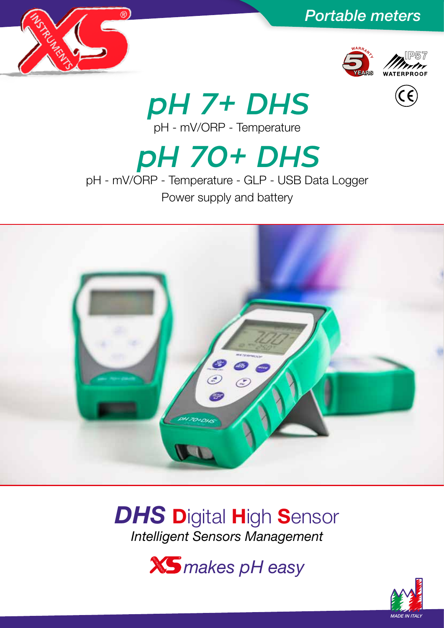









*pH 7+ DHS* pH - mV/ORP - Temperature

*pH 70+ DHS* pH - mV/ORP - Temperature - GLP - USB Data Logger

Power supply and battery



# **DHS** Digital High Sensor *Intelligent Sensors Management*

*makes pH easy*

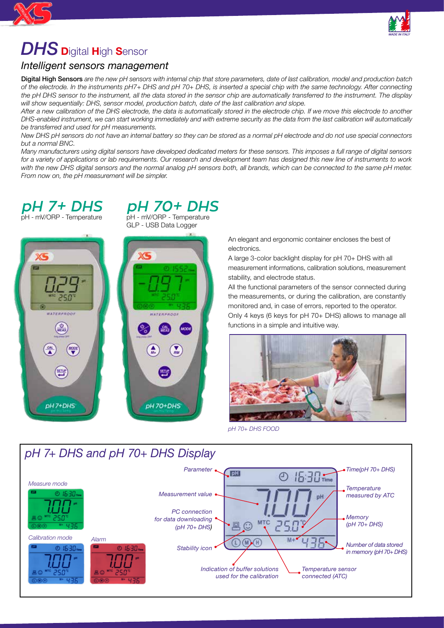

# *DHS* <sup>D</sup>igital High Sensor

## *Intelligent sensors management*

Digital High Sensors *are the new pH sensors with internal chip that store parameters, date of last calibration, model and production batch of the electrode. In the instruments pH7+ DHS and pH 70+ DHS, is inserted a special chip with the same technology. After connecting the pH DHS sensor to the instrument, all the data stored in the sensor chip are automatically transferred to the instrument. The display will show sequentially: DHS, sensor model, production batch, date of the last calibration and slope.*

*After a new calibration of the DHS electrode, the data is automatically stored in the electrode chip. If we move this electrode to another DHS-enabled instrument, we can start working immediately and with extreme security as the data from the last calibration will automatically be transferred and used for pH measurements.*

*New DHS pH sensors do not have an internal battery so they can be stored as a normal pH electrode and do not use special connectors but a normal BNC.*

*Many manufacturers using digital sensors have developed dedicated meters for these sensors. This imposes a full range of digital sensors for a variety of applications or lab requirements. Our research and development team has designed this new line of instruments to work*  with the new DHS digital sensors and the normal analog pH sensors both, all brands, which can be connected to the same pH meter. *From now on, the pH measurement will be simpler.*

### *pH 7+ DHS* pH - mV/ORP - Temperature

*pH 70+ DHS*  pH - mV/ORP - Temperature



GLP - USB Data Logger

An elegant and ergonomic container encloses the best of electronics.

A large 3-color backlight display for pH 70+ DHS with all measurement informations, calibration solutions, measurement stability, and electrode status.

All the functional parameters of the sensor connected during the measurements, or during the calibration, are constantly monitored and, in case of errors, reported to the operator.

Only 4 keys (6 keys for pH 70+ DHS) allows to manage all functions in a simple and intuitive way.



*pH 70+ DHS FOOD*

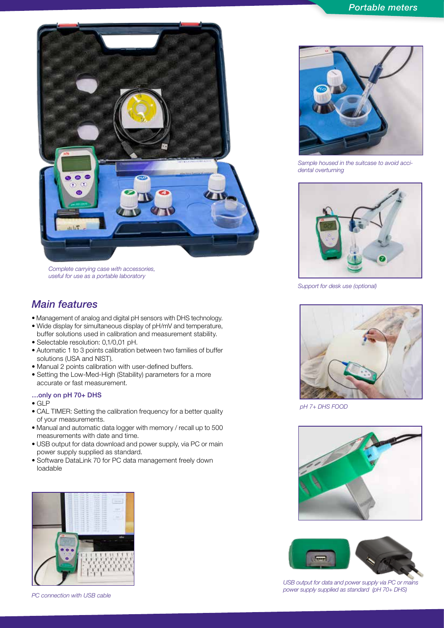

*Complete carrying case with accessories, useful for use as a portable laboratory*

### *Main features*

- Management of analog and digital pH sensors with DHS technology.
- Wide display for simultaneous display of pH/mV and temperature, buffer solutions used in calibration and measurement stability.
- Selectable resolution: 0,1/0,01 pH.
- Automatic 1 to 3 points calibration between two families of buffer solutions (USA and NIST).
- Manual 2 points calibration with user-defined buffers.
- Setting the Low-Med-High (Stability) parameters for a more accurate or fast measurement.

#### …only on pH 70+ DHS

- GLP
- CAL TIMER: Setting the calibration frequency for a better quality of your measurements.
- Manual and automatic data logger with memory / recall up to 500 measurements with date and time.
- USB output for data download and power supply, via PC or main power supply supplied as standard.
- Software DataLink 70 for PC data management freely down loadable



*PC connection with USB cable*



*Sample housed in the suitcase to avoid accidental overturning*



*Support for desk use (optional)*



*pH 7+ DHS FOOD*





*USB output for data and power supply via PC or mains power supply supplied as standard (pH 70+ DHS)*